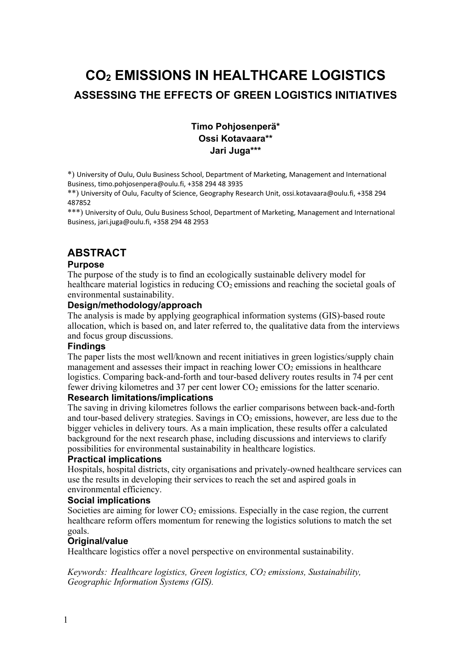# **CO2 EMISSIONS IN HEALTHCARE LOGISTICS ASSESSING THE EFFECTS OF GREEN LOGISTICS INITIATIVES**

### **Timo Pohjosenperä\* Ossi Kotavaara\*\* Jari Juga\*\*\***

\*) University of Oulu, Oulu Business School, Department of Marketing, Management and International Business, timo.pohjosenpera@oulu.fi, +358 294 48 3935

\*\*) University of Oulu, Faculty of Science, Geography Research Unit, ossi.kotavaara@oulu.fi, +358 294 487852

\*\*\*) University of Oulu, Oulu Business School, Department of Marketing, Management and International Business, jari.juga@oulu.fi, +358 294 48 2953

# **ABSTRACT**

#### **Purpose**

The purpose of the study is to find an ecologically sustainable delivery model for healthcare material logistics in reducing  $CO<sub>2</sub>$  emissions and reaching the societal goals of environmental sustainability.

#### **Design/methodology/approach**

The analysis is made by applying geographical information systems (GIS)-based route allocation, which is based on, and later referred to, the qualitative data from the interviews and focus group discussions.

#### **Findings**

The paper lists the most well/known and recent initiatives in green logistics/supply chain management and assesses their impact in reaching lower  $CO<sub>2</sub>$  emissions in healthcare logistics. Comparing back-and-forth and tour-based delivery routes results in 74 per cent fewer driving kilometres and 37 per cent lower  $CO<sub>2</sub>$  emissions for the latter scenario.

#### **Research limitations/implications**

The saving in driving kilometres follows the earlier comparisons between back-and-forth and tour-based delivery strategies. Savings in  $CO<sub>2</sub>$  emissions, however, are less due to the bigger vehicles in delivery tours. As a main implication, these results offer a calculated background for the next research phase, including discussions and interviews to clarify possibilities for environmental sustainability in healthcare logistics.

#### **Practical implications**

Hospitals, hospital districts, city organisations and privately-owned healthcare services can use the results in developing their services to reach the set and aspired goals in environmental efficiency.

#### **Social implications**

Societies are aiming for lower  $CO<sub>2</sub>$  emissions. Especially in the case region, the current healthcare reform offers momentum for renewing the logistics solutions to match the set goals.

#### **Original/value**

Healthcare logistics offer a novel perspective on environmental sustainability.

*Keywords: Healthcare logistics, Green logistics, CO2 emissions, Sustainability, Geographic Information Systems (GIS).*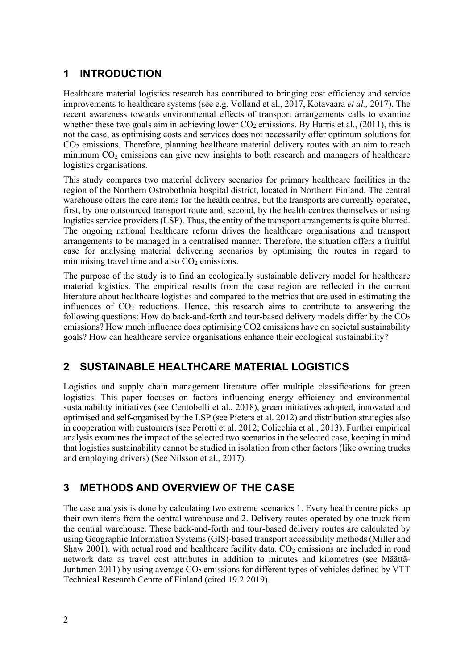# **1 INTRODUCTION**

Healthcare material logistics research has contributed to bringing cost efficiency and service improvements to healthcare systems (see e.g. Volland et al., 2017, Kotavaara *et al.,* 2017). The recent awareness towards environmental effects of transport arrangements calls to examine whether these two goals aim in achieving lower  $CO<sub>2</sub>$  emissions. By Harris et al., (2011), this is not the case, as optimising costs and services does not necessarily offer optimum solutions for CO2 emissions. Therefore, planning healthcare material delivery routes with an aim to reach minimum  $CO<sub>2</sub>$  emissions can give new insights to both research and managers of healthcare logistics organisations.

This study compares two material delivery scenarios for primary healthcare facilities in the region of the Northern Ostrobothnia hospital district, located in Northern Finland. The central warehouse offers the care items for the health centres, but the transports are currently operated, first, by one outsourced transport route and, second, by the health centres themselves or using logistics service providers (LSP). Thus, the entity of the transport arrangements is quite blurred. The ongoing national healthcare reform drives the healthcare organisations and transport arrangements to be managed in a centralised manner. Therefore, the situation offers a fruitful case for analysing material delivering scenarios by optimising the routes in regard to minimising travel time and also  $CO<sub>2</sub>$  emissions.

The purpose of the study is to find an ecologically sustainable delivery model for healthcare material logistics. The empirical results from the case region are reflected in the current literature about healthcare logistics and compared to the metrics that are used in estimating the influences of  $CO<sub>2</sub>$  reductions. Hence, this research aims to contribute to answering the following questions: How do back-and-forth and tour-based delivery models differ by the  $CO<sub>2</sub>$ emissions? How much influence does optimising CO2 emissions have on societal sustainability goals? How can healthcare service organisations enhance their ecological sustainability?

# **2 SUSTAINABLE HEALTHCARE MATERIAL LOGISTICS**

Logistics and supply chain management literature offer multiple classifications for green logistics. This paper focuses on factors influencing energy efficiency and environmental sustainability initiatives (see Centobelli et al., 2018), green initiatives adopted, innovated and optimised and self-organised by the LSP (see Pieters et al. 2012) and distribution strategies also in cooperation with customers (see Perotti et al. 2012; Colicchia et al., 2013). Further empirical analysis examines the impact of the selected two scenarios in the selected case, keeping in mind that logistics sustainability cannot be studied in isolation from other factors (like owning trucks and employing drivers) (See Nilsson et al., 2017).

### **3 METHODS AND OVERVIEW OF THE CASE**

The case analysis is done by calculating two extreme scenarios 1. Every health centre picks up their own items from the central warehouse and 2. Delivery routes operated by one truck from the central warehouse. These back-and-forth and tour-based delivery routes are calculated by using Geographic Information Systems (GIS)-based transport accessibility methods (Miller and Shaw 2001), with actual road and healthcare facility data.  $CO<sub>2</sub>$  emissions are included in road network data as travel cost attributes in addition to minutes and kilometres (see Määttä-Juntunen 2011) by using average  $CO<sub>2</sub>$  emissions for different types of vehicles defined by VTT Technical Research Centre of Finland (cited 19.2.2019).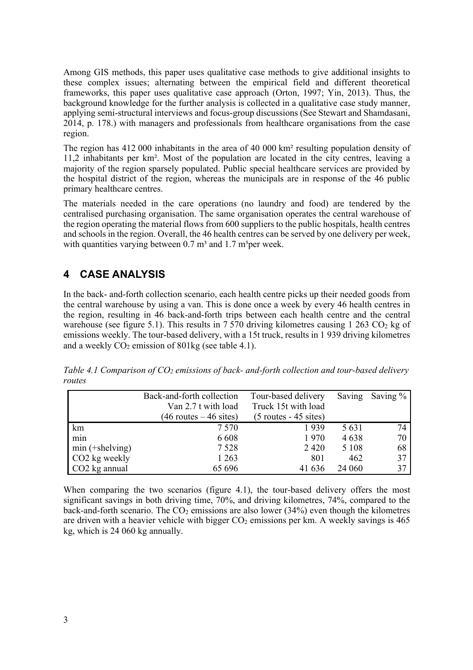Among GIS methods, this paper uses qualitative case methods to give additional insights to these complex issues; alternating between the empirical field and different theoretical frameworks, this paper uses qualitative case approach (Orton, 1997; Yin, 2013). Thus, the background knowledge for the further analysis is collected in a qualitative case study manner, applying semi-structural interviews and focus-group discussions (See Stewart and Shamdasani, 2014, p. 178.) with managers and professionals from healthcare organisations from the case region.

The region has 412 000 inhabitants in the area of 40 000 km² resulting population density of 11,2 inhabitants per km². Most of the population are located in the city centres, leaving a majority of the region sparsely populated. Public special healthcare services are provided by the hospital district of the region, whereas the municipals are in response of the 46 public primary healthcare centres.

The materials needed in the care operations (no laundry and food) are tendered by the centralised purchasing organisation. The same organisation operates the central warehouse of the region operating the material flows from 600 suppliers to the public hospitals, health centres and schools in the region. Overall, the 46 health centres can be served by one delivery per week, with quantities varying between  $0.7 \text{ m}^3$  and  $1.7 \text{ m}^3$  per week.

# **4 CASE ANALYSIS**

In the back- and-forth collection scenario, each health centre picks up their needed goods from the central warehouse by using a van. This is done once a week by every 46 health centres in the region, resulting in 46 back-and-forth trips between each health centre and the central warehouse (see figure 5.1). This results in  $7570$  driving kilometres causing  $1263 \text{ CO}_2$  kg of emissions weekly. The tour-based delivery, with a 15t truck, results in 1 939 driving kilometres and a weekly  $CO<sub>2</sub>$  emission of 801kg (see table 4.1).

|                           | Back-and-forth collection | Tour-based delivery     | Saving  | Saving $\%$ |
|---------------------------|---------------------------|-------------------------|---------|-------------|
|                           | Van 2.7 t with load       | Truck 15t with load     |         |             |
|                           | $(46$ routes $-46$ sites) | $(5$ routes - 45 sites) |         |             |
| km                        | 7 5 7 0                   | 1939                    | 5 6 3 1 | 74          |
| min                       | 6 6 0 8                   | 1970                    | 4638    | 70          |
| $min$ (+shelving)         | 7 5 2 8                   | 2420                    | 5 1 0 8 | 68          |
| CO2 kg weekly             | 1 2 6 3                   | 801                     | 462     | 37          |
| CO <sub>2</sub> kg annual | 65 696                    | 41 636                  | 24 060  | 37          |

*Table 4.1 Comparison of CO2 emissions of back- and-forth collection and tour-based delivery routes*

When comparing the two scenarios (figure 4.1), the tour-based delivery offers the most significant savings in both driving time, 70%, and driving kilometres, 74%, compared to the back-and-forth scenario. The  $CO<sub>2</sub>$  emissions are also lower (34%) even though the kilometres are driven with a heavier vehicle with bigger  $CO<sub>2</sub>$  emissions per km. A weekly savings is 465 kg, which is 24 060 kg annually.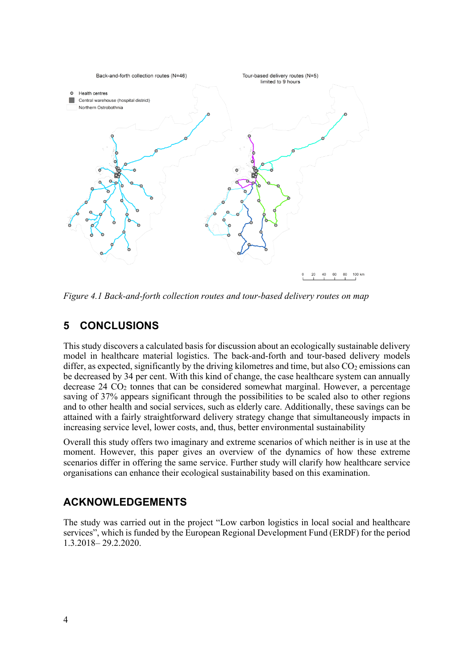

*Figure 4.1 Back-and-forth collection routes and tour-based delivery routes on map*

### **5 CONCLUSIONS**

This study discovers a calculated basis for discussion about an ecologically sustainable delivery model in healthcare material logistics. The back-and-forth and tour-based delivery models differ, as expected, significantly by the driving kilometres and time, but also  $CO<sub>2</sub>$  emissions can be decreased by 34 per cent. With this kind of change, the case healthcare system can annually decrease  $24 \text{ CO}_2$  tonnes that can be considered somewhat marginal. However, a percentage saving of 37% appears significant through the possibilities to be scaled also to other regions and to other health and social services, such as elderly care. Additionally, these savings can be attained with a fairly straightforward delivery strategy change that simultaneously impacts in increasing service level, lower costs, and, thus, better environmental sustainability

Overall this study offers two imaginary and extreme scenarios of which neither is in use at the moment. However, this paper gives an overview of the dynamics of how these extreme scenarios differ in offering the same service. Further study will clarify how healthcare service organisations can enhance their ecological sustainability based on this examination.

### **ACKNOWLEDGEMENTS**

The study was carried out in the project "Low carbon logistics in local social and healthcare services", which is funded by the European Regional Development Fund (ERDF) for the period 1.3.2018– 29.2.2020.